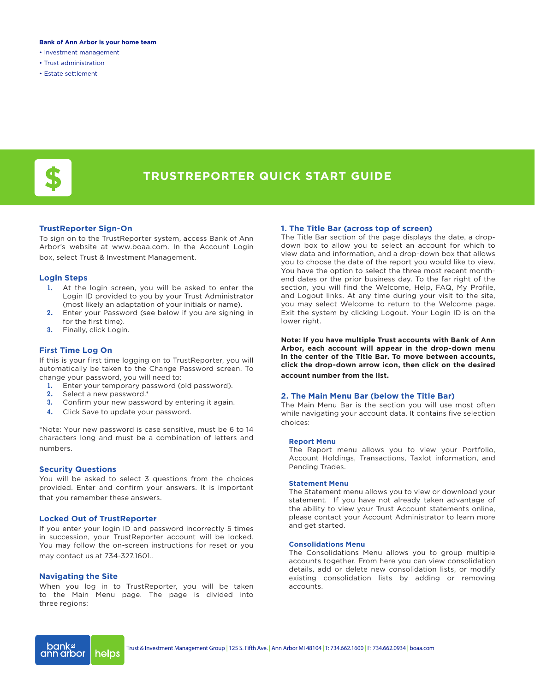### **Bank of Ann Arbor is your home team**

- Investment management
- Trust administration
- Estate settlement



# **TRUSTREPORTER QUICK START GUIDE**

# **TrustReporter Sign-On**

To sign on to the TrustReporter system, access Bank of Ann Arbor's website at www.boaa.com. In the Account Login box, select Trust & Investment Management.

# **Login Steps**

- **1.** At the login screen, you will be asked to enter the Login ID provided to you by your Trust Administrator (most likely an adaptation of your initials or name).
- **2.** Enter your Password (see below if you are signing in for the first time).
- **3.** Finally, click Login.

# **First Time Log On**

If this is your first time logging on to TrustReporter, you will automatically be taken to the Change Password screen. To change your password, you will need to:

- **1.** Enter your temporary password (old password).
- **2.** Select a new password.\*
- **3.** Confirm your new password by entering it again.
- **4.** Click Save to update your password.

\*Note: Your new password is case sensitive, must be 6 to 14 characters long and must be a combination of letters and numbers.

# **Security Questions**

You will be asked to select 3 questions from the choices provided. Enter and confirm your answers. It is important that you remember these answers.

# **Locked Out of TrustReporter**

If you enter your login ID and password incorrectly 5 times in succession, your TrustReporter account will be locked. You may follow the on-screen instructions for reset or you may contact us at 734-327.1601..

# **Navigating the Site**

When you log in to TrustReporter, you will be taken to the Main Menu page. The page is divided into three regions:

# **1. The Title Bar (across top of screen)**

The Title Bar section of the page displays the date, a dropdown box to allow you to select an account for which to view data and information, and a drop-down box that allows you to choose the date of the report you would like to view. You have the option to select the three most recent monthend dates or the prior business day. To the far right of the section, you will find the Welcome, Help, FAQ, My Profile, and Logout links. At any time during your visit to the site, you may select Welcome to return to the Welcome page. Exit the system by clicking Logout. Your Login ID is on the lower right.

**Note: If you have multiple Trust accounts with Bank of Ann Arbor, each account will appear in the drop-down menu in the center of the Title Bar. To move between accounts, click the drop-down arrow icon, then click on the desired account number from the list.** 

### **2. The Main Menu Bar (below the Title Bar)**

The Main Menu Bar is the section you will use most often while navigating your account data. It contains five selection choices:

#### **Report Menu**

The Report menu allows you to view your Portfolio, Account Holdings, Transactions, Taxlot information, and Pending Trades.

# **Statement Menu**

The Statement menu allows you to view or download your statement. If you have not already taken advantage of the ability to view your Trust Account statements online, please contact your Account Administrator to learn more and get started.

## **Consolidations Menu**

The Consolidations Menu allows you to group multiple accounts together. From here you can view consolidation details, add or delete new consolidation lists, or modify existing consolidation lists by adding or removing accounts.